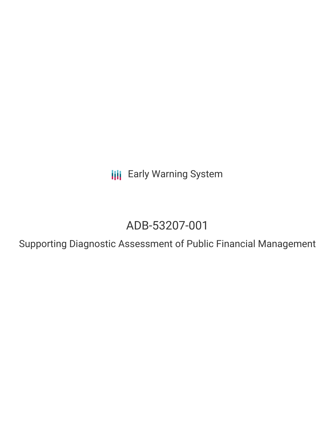**III** Early Warning System

# ADB-53207-001

Supporting Diagnostic Assessment of Public Financial Management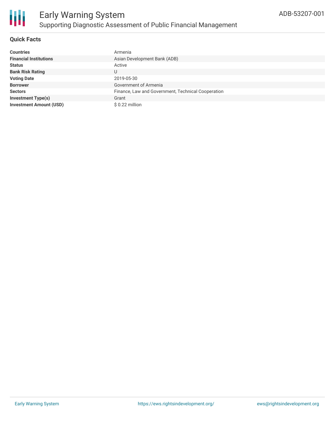

#### **Quick Facts**

| <b>Countries</b>               | Armenia                                            |
|--------------------------------|----------------------------------------------------|
| <b>Financial Institutions</b>  | Asian Development Bank (ADB)                       |
| <b>Status</b>                  | Active                                             |
| <b>Bank Risk Rating</b>        | U                                                  |
| <b>Voting Date</b>             | 2019-05-30                                         |
| <b>Borrower</b>                | Government of Armenia                              |
| <b>Sectors</b>                 | Finance, Law and Government, Technical Cooperation |
| <b>Investment Type(s)</b>      | Grant                                              |
| <b>Investment Amount (USD)</b> | \$ 0.22 million                                    |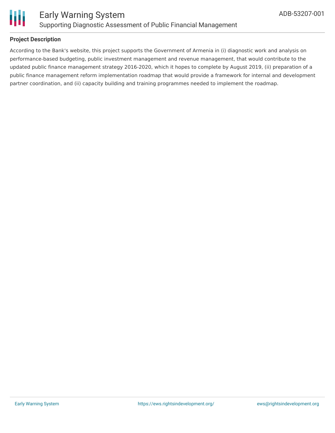

#### **Project Description**

According to the Bank's website, this project supports the Government of Armenia in (i) diagnostic work and analysis on performance-based budgeting, public investment management and revenue management, that would contribute to the updated public finance management strategy 2016-2020, which it hopes to complete by August 2019, (ii) preparation of a public finance management reform implementation roadmap that would provide a framework for internal and development partner coordination, and (ii) capacity building and training programmes needed to implement the roadmap.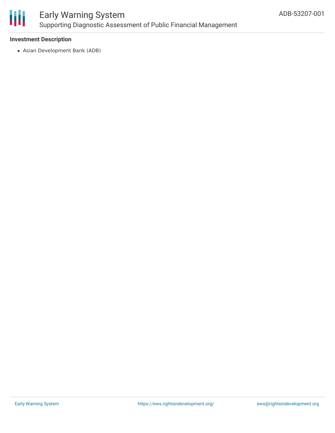

### Early Warning System Supporting Diagnostic Assessment of Public Financial Management

#### **Investment Description**

Asian Development Bank (ADB)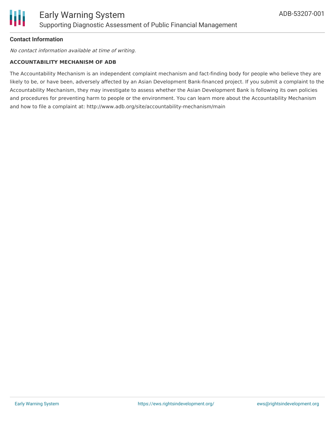#### **Contact Information**

No contact information available at time of writing.

#### **ACCOUNTABILITY MECHANISM OF ADB**

The Accountability Mechanism is an independent complaint mechanism and fact-finding body for people who believe they are likely to be, or have been, adversely affected by an Asian Development Bank-financed project. If you submit a complaint to the Accountability Mechanism, they may investigate to assess whether the Asian Development Bank is following its own policies and procedures for preventing harm to people or the environment. You can learn more about the Accountability Mechanism and how to file a complaint at: http://www.adb.org/site/accountability-mechanism/main